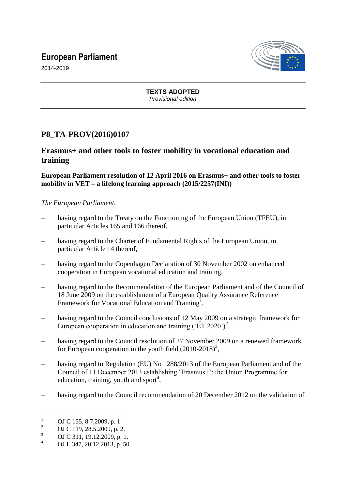# **European Parliament**



2014-2019

#### **TEXTS ADOPTED** *Provisional edition*

## **P8\_TA-PROV(2016)0107**

### **Erasmus+ and other tools to foster mobility in vocational education and training**

#### **European Parliament resolution of 12 April 2016 on Erasmus+ and other tools to foster mobility in VET – a lifelong learning approach (2015/2257(INI))**

#### *The European Parliament*,

- having regard to the Treaty on the Functioning of the European Union (TFEU), in particular Articles 165 and 166 thereof,
- having regard to the Charter of Fundamental Rights of the European Union, in particular Article 14 thereof,
- having regard to the Copenhagen Declaration of 30 November 2002 on enhanced cooperation in European vocational education and training,
- having regard to the Recommendation of the European Parliament and of the Council of 18 June 2009 on the establishment of a European Quality Assurance Reference Framework for Vocational Education and Training<sup>1</sup>,
- having regard to the Council conclusions of 12 May 2009 on a strategic framework for European cooperation in education and training ('ET 2020')<sup>2</sup>,
- having regard to the Council resolution of 27 November 2009 on a renewed framework for European cooperation in the youth field  $(2010-2018)^3$ ,
- having regard to Regulation (EU) No 1288/2013 of the European Parliament and of the Council of 11 December 2013 establishing "Erasmus+": the Union Programme for education, training, youth and sport<sup>4</sup>,
- having regard to the Council recommendation of 20 December 2012 on the validation of

 $\mathbf{1}$ <sup>1</sup> OJ C 155, 8.7.2009, p. 1.<br><sup>2</sup> OJ G 110, 28.5.2000, 2

<sup>&</sup>lt;sup>2</sup> OJ C 119, 28.5.2009, p. 2.

 $\frac{3}{4}$  OJ C 311, 19.12.2009, p. 1.

OJ L 347, 20.12.2013, p. 50.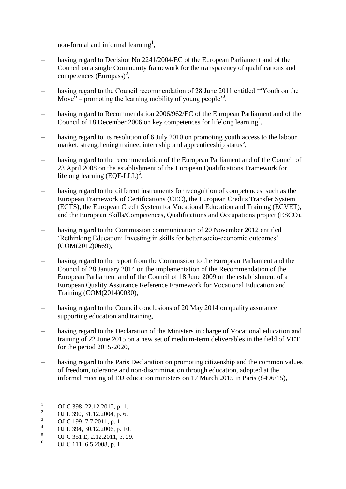non-formal and informal learning<sup>1</sup>,

- having regard to Decision No 2241/2004/EC of the European Parliament and of the Council on a single Community framework for the transparency of qualifications and competences  $(Europass)^2$ ,
- having regard to the Council recommendation of 28 June 2011 entitled "Youth on the Move" – promoting the learning mobility of young people<sup>33</sup>,
- having regard to Recommendation 2006/962/EC of the European Parliament and of the Council of 18 December 2006 on key competences for lifelong learning<sup>4</sup>,
- having regard to its resolution of 6 July 2010 on promoting youth access to the labour market, strengthening trainee, internship and apprenticeship status<sup>5</sup>,
- having regard to the recommendation of the European Parliament and of the Council of 23 April 2008 on the establishment of the European Qualifications Framework for lifelong learning  $(EQF\text{-}LLL)^6$ ,
- having regard to the different instruments for recognition of competences, such as the European Framework of Certifications (CEC), the European Credits Transfer System (ECTS), the European Credit System for Vocational Education and Training (ECVET), and the European Skills/Competences, Qualifications and Occupations project (ESCO),
- having regard to the Commission communication of 20 November 2012 entitled "Rethinking Education: Investing in skills for better socio-economic outcomes" (COM(2012)0669),
- having regard to the report from the Commission to the European Parliament and the Council of 28 January 2014 on the implementation of the Recommendation of the European Parliament and of the Council of 18 June 2009 on the establishment of a European Quality Assurance Reference Framework for Vocational Education and Training (COM(2014)0030),
- having regard to the Council conclusions of 20 May 2014 on quality assurance supporting education and training,
- having regard to the Declaration of the Ministers in charge of Vocational education and training of 22 June 2015 on a new set of medium-term deliverables in the field of VET for the period 2015-2020,
- having regard to the Paris Declaration on promoting citizenship and the common values of freedom, tolerance and non-discrimination through education, adopted at the informal meeting of EU education ministers on 17 March 2015 in Paris (8496/15),

 $\mathbf{1}$  $\frac{1}{2}$  OJ C 398, 22.12.2012, p. 1.

<sup>&</sup>lt;sup>2</sup> OJ L 390, 31.12.2004, p. 6.<br><sup>3</sup> OJ G 100, 7.7.2011, p. 1.

 $\frac{3}{4}$  OJ C 199, 7.7.2011, p. 1.

<sup>&</sup>lt;sup>4</sup> OJ L 394, 30.12.2006, p. 10.

 $\frac{5}{6}$  OJ C 351 E, 2.12.2011, p. 29.

<sup>6</sup> OJ C 111, 6.5.2008, p. 1.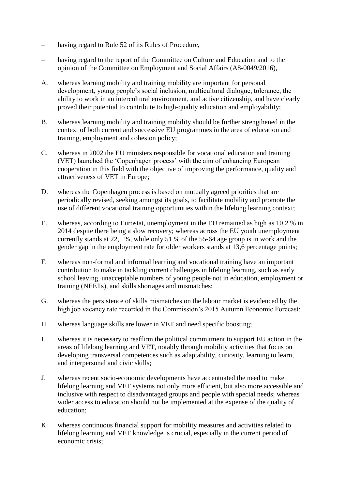- having regard to Rule 52 of its Rules of Procedure,
- having regard to the report of the Committee on Culture and Education and to the opinion of the Committee on Employment and Social Affairs (A8-0049/2016),
- A. whereas learning mobility and training mobility are important for personal development, young people"s social inclusion, multicultural dialogue, tolerance, the ability to work in an intercultural environment, and active citizenship, and have clearly proved their potential to contribute to high-quality education and employability;
- B. whereas learning mobility and training mobility should be further strengthened in the context of both current and successive EU programmes in the area of education and training, employment and cohesion policy;
- C. whereas in 2002 the EU ministers responsible for vocational education and training (VET) launched the "Copenhagen process" with the aim of enhancing European cooperation in this field with the objective of improving the performance, quality and attractiveness of VET in Europe;
- D. whereas the Copenhagen process is based on mutually agreed priorities that are periodically revised, seeking amongst its goals, to facilitate mobility and promote the use of different vocational training opportunities within the lifelong learning context;
- E. whereas, according to Eurostat, unemployment in the EU remained as high as 10,2 % in 2014 despite there being a slow recovery; whereas across the EU youth unemployment currently stands at 22,1 %, while only 51 % of the 55-64 age group is in work and the gender gap in the employment rate for older workers stands at 13,6 percentage points;
- F. whereas non-formal and informal learning and vocational training have an important contribution to make in tackling current challenges in lifelong learning, such as early school leaving, unacceptable numbers of young people not in education, employment or training (NEETs), and skills shortages and mismatches;
- G. whereas the persistence of skills mismatches on the labour market is evidenced by the high job vacancy rate recorded in the Commission's 2015 Autumn Economic Forecast;
- H. whereas language skills are lower in VET and need specific boosting;
- I. whereas it is necessary to reaffirm the political commitment to support EU action in the areas of lifelong learning and VET, notably through mobility activities that focus on developing transversal competences such as adaptability, curiosity, learning to learn, and interpersonal and civic skills;
- J. whereas recent socio-economic developments have accentuated the need to make lifelong learning and VET systems not only more efficient, but also more accessible and inclusive with respect to disadvantaged groups and people with special needs; whereas wider access to education should not be implemented at the expense of the quality of education;
- K. whereas continuous financial support for mobility measures and activities related to lifelong learning and VET knowledge is crucial, especially in the current period of economic crisis;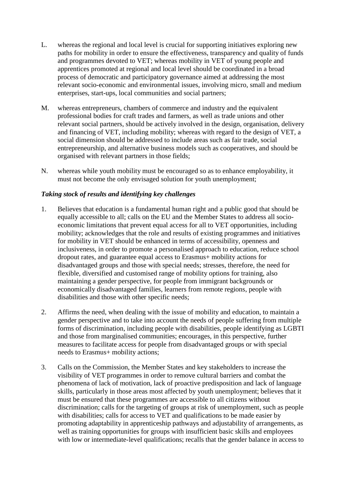- L. whereas the regional and local level is crucial for supporting initiatives exploring new paths for mobility in order to ensure the effectiveness, transparency and quality of funds and programmes devoted to VET; whereas mobility in VET of young people and apprentices promoted at regional and local level should be coordinated in a broad process of democratic and participatory governance aimed at addressing the most relevant socio-economic and environmental issues, involving micro, small and medium enterprises, start-ups, local communities and social partners;
- M. whereas entrepreneurs, chambers of commerce and industry and the equivalent professional bodies for craft trades and farmers, as well as trade unions and other relevant social partners, should be actively involved in the design, organisation, delivery and financing of VET, including mobility; whereas with regard to the design of VET, a social dimension should be addressed to include areas such as fair trade, social entrepreneurship, and alternative business models such as cooperatives, and should be organised with relevant partners in those fields;
- N. whereas while youth mobility must be encouraged so as to enhance employability, it must not become the only envisaged solution for youth unemployment;

#### *Taking stock of results and identifying key challenges*

- 1. Believes that education is a fundamental human right and a public good that should be equally accessible to all; calls on the EU and the Member States to address all socioeconomic limitations that prevent equal access for all to VET opportunities, including mobility; acknowledges that the role and results of existing programmes and initiatives for mobility in VET should be enhanced in terms of accessibility, openness and inclusiveness, in order to promote a personalised approach to education, reduce school dropout rates, and guarantee equal access to Erasmus+ mobility actions for disadvantaged groups and those with special needs; stresses, therefore, the need for flexible, diversified and customised range of mobility options for training, also maintaining a gender perspective, for people from immigrant backgrounds or economically disadvantaged families, learners from remote regions, people with disabilities and those with other specific needs;
- 2. Affirms the need, when dealing with the issue of mobility and education, to maintain a gender perspective and to take into account the needs of people suffering from multiple forms of discrimination, including people with disabilities, people identifying as LGBTI and those from marginalised communities; encourages, in this perspective, further measures to facilitate access for people from disadvantaged groups or with special needs to Erasmus+ mobility actions;
- 3. Calls on the Commission, the Member States and key stakeholders to increase the visibility of VET programmes in order to remove cultural barriers and combat the phenomena of lack of motivation, lack of proactive predisposition and lack of language skills, particularly in those areas most affected by youth unemployment; believes that it must be ensured that these programmes are accessible to all citizens without discrimination; calls for the targeting of groups at risk of unemployment, such as people with disabilities; calls for access to VET and qualifications to be made easier by promoting adaptability in apprenticeship pathways and adjustability of arrangements, as well as training opportunities for groups with insufficient basic skills and employees with low or intermediate-level qualifications; recalls that the gender balance in access to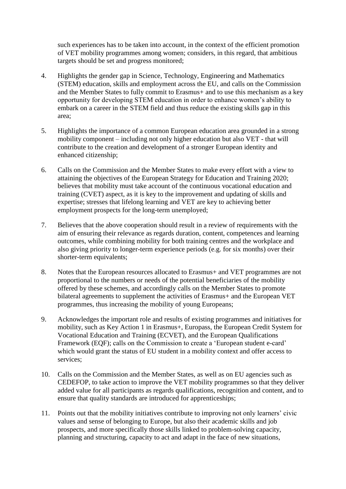such experiences has to be taken into account, in the context of the efficient promotion of VET mobility programmes among women; considers, in this regard, that ambitious targets should be set and progress monitored;

- 4. Highlights the gender gap in Science, Technology, Engineering and Mathematics (STEM) education, skills and employment across the EU, and calls on the Commission and the Member States to fully commit to Erasmus+ and to use this mechanism as a key opportunity for developing STEM education in order to enhance women"s ability to embark on a career in the STEM field and thus reduce the existing skills gap in this area;
- 5. Highlights the importance of a common European education area grounded in a strong mobility component – including not only higher education but also VET - that will contribute to the creation and development of a stronger European identity and enhanced citizenship;
- 6. Calls on the Commission and the Member States to make every effort with a view to attaining the objectives of the European Strategy for Education and Training 2020; believes that mobility must take account of the continuous vocational education and training (CVET) aspect, as it is key to the improvement and updating of skills and expertise; stresses that lifelong learning and VET are key to achieving better employment prospects for the long-term unemployed;
- 7. Believes that the above cooperation should result in a review of requirements with the aim of ensuring their relevance as regards duration, content, competences and learning outcomes, while combining mobility for both training centres and the workplace and also giving priority to longer-term experience periods (e.g. for six months) over their shorter-term equivalents;
- 8. Notes that the European resources allocated to Erasmus+ and VET programmes are not proportional to the numbers or needs of the potential beneficiaries of the mobility offered by these schemes, and accordingly calls on the Member States to promote bilateral agreements to supplement the activities of Erasmus+ and the European VET programmes, thus increasing the mobility of young Europeans;
- 9. Acknowledges the important role and results of existing programmes and initiatives for mobility, such as Key Action 1 in Erasmus+, Europass, the European Credit System for Vocational Education and Training (ECVET), and the European Qualifications Framework (EQF); calls on the Commission to create a 'European student e-card' which would grant the status of EU student in a mobility context and offer access to services;
- 10. Calls on the Commission and the Member States, as well as on EU agencies such as CEDEFOP, to take action to improve the VET mobility programmes so that they deliver added value for all participants as regards qualifications, recognition and content, and to ensure that quality standards are introduced for apprenticeships;
- 11. Points out that the mobility initiatives contribute to improving not only learners" civic values and sense of belonging to Europe, but also their academic skills and job prospects, and more specifically those skills linked to problem-solving capacity, planning and structuring, capacity to act and adapt in the face of new situations,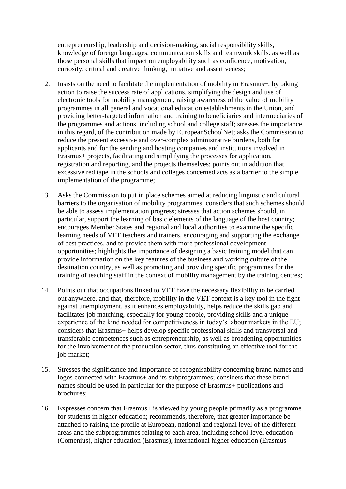entrepreneurship, leadership and decision-making, social responsibility skills, knowledge of foreign languages, communication skills and teamwork skills. as well as those personal skills that impact on employability such as confidence, motivation, curiosity, critical and creative thinking, initiative and assertiveness;

- 12. Insists on the need to facilitate the implementation of mobility in Erasmus+, by taking action to raise the success rate of applications, simplifying the design and use of electronic tools for mobility management, raising awareness of the value of mobility programmes in all general and vocational education establishments in the Union, and providing better-targeted information and training to beneficiaries and intermediaries of the programmes and actions, including school and college staff; stresses the importance, in this regard, of the contribution made by EuropeanSchoolNet; asks the Commission to reduce the present excessive and over-complex administrative burdens, both for applicants and for the sending and hosting companies and institutions involved in Erasmus+ projects, facilitating and simplifying the processes for application, registration and reporting, and the projects themselves; points out in addition that excessive red tape in the schools and colleges concerned acts as a barrier to the simple implementation of the programme;
- 13. Asks the Commission to put in place schemes aimed at reducing linguistic and cultural barriers to the organisation of mobility programmes; considers that such schemes should be able to assess implementation progress; stresses that action schemes should, in particular, support the learning of basic elements of the language of the host country; encourages Member States and regional and local authorities to examine the specific learning needs of VET teachers and trainers, encouraging and supporting the exchange of best practices, and to provide them with more professional development opportunities; highlights the importance of designing a basic training model that can provide information on the key features of the business and working culture of the destination country, as well as promoting and providing specific programmes for the training of teaching staff in the context of mobility management by the training centres;
- 14. Points out that occupations linked to VET have the necessary flexibility to be carried out anywhere, and that, therefore, mobility in the VET context is a key tool in the fight against unemployment, as it enhances employability, helps reduce the skills gap and facilitates job matching, especially for young people, providing skills and a unique experience of the kind needed for competitiveness in today"s labour markets in the EU; considers that Erasmus+ helps develop specific professional skills and transversal and transferable competences such as entrepreneurship, as well as broadening opportunities for the involvement of the production sector, thus constituting an effective tool for the job market;
- 15. Stresses the significance and importance of recognisability concerning brand names and logos connected with Erasmus+ and its subprogrammes; considers that these brand names should be used in particular for the purpose of Erasmus+ publications and brochures;
- 16. Expresses concern that Erasmus+ is viewed by young people primarily as a programme for students in higher education; recommends, therefore, that greater importance be attached to raising the profile at European, national and regional level of the different areas and the subprogrammes relating to each area, including school-level education (Comenius), higher education (Erasmus), international higher education (Erasmus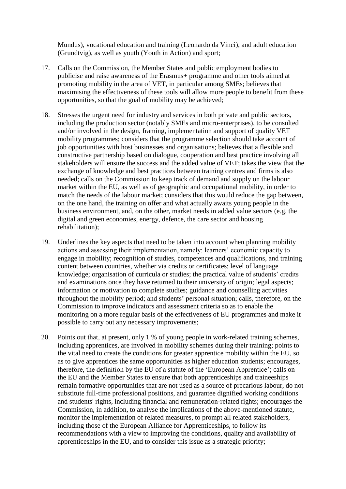Mundus), vocational education and training (Leonardo da Vinci), and adult education (Grundtvig), as well as youth (Youth in Action) and sport;

- 17. Calls on the Commission, the Member States and public employment bodies to publicise and raise awareness of the Erasmus+ programme and other tools aimed at promoting mobility in the area of VET, in particular among SMEs; believes that maximising the effectiveness of these tools will allow more people to benefit from these opportunities, so that the goal of mobility may be achieved;
- 18. Stresses the urgent need for industry and services in both private and public sectors, including the production sector (notably SMEs and micro-enterprises), to be consulted and/or involved in the design, framing, implementation and support of quality VET mobility programmes; considers that the programme selection should take account of job opportunities with host businesses and organisations; believes that a flexible and constructive partnership based on dialogue, cooperation and best practice involving all stakeholders will ensure the success and the added value of VET; takes the view that the exchange of knowledge and best practices between training centres and firms is also needed; calls on the Commission to keep track of demand and supply on the labour market within the EU, as well as of geographic and occupational mobility, in order to match the needs of the labour market; considers that this would reduce the gap between, on the one hand, the training on offer and what actually awaits young people in the business environment, and, on the other, market needs in added value sectors (e.g. the digital and green economies, energy, defence, the care sector and housing rehabilitation);
- 19. Underlines the key aspects that need to be taken into account when planning mobility actions and assessing their implementation, namely: learners' economic capacity to engage in mobility; recognition of studies, competences and qualifications, and training content between countries, whether via credits or certificates; level of language knowledge; organisation of curricula or studies; the practical value of students' credits and examinations once they have returned to their university of origin; legal aspects; information or motivation to complete studies; guidance and counselling activities throughout the mobility period; and students" personal situation; calls, therefore, on the Commission to improve indicators and assessment criteria so as to enable the monitoring on a more regular basis of the effectiveness of EU programmes and make it possible to carry out any necessary improvements;
- 20. Points out that, at present, only 1 % of young people in work-related training schemes, including apprentices, are involved in mobility schemes during their training; points to the vital need to create the conditions for greater apprentice mobility within the EU, so as to give apprentices the same opportunities as higher education students; encourages, therefore, the definition by the EU of a statute of the "European Apprentice"; calls on the EU and the Member States to ensure that both apprenticeships and traineeships remain formative opportunities that are not used as a source of precarious labour, do not substitute full-time professional positions, and guarantee dignified working conditions and students' rights, including financial and remuneration-related rights; encourages the Commission, in addition, to analyse the implications of the above-mentioned statute, monitor the implementation of related measures, to prompt all related stakeholders, including those of the European Alliance for Apprenticeships, to follow its recommendations with a view to improving the conditions, quality and availability of apprenticeships in the EU, and to consider this issue as a strategic priority;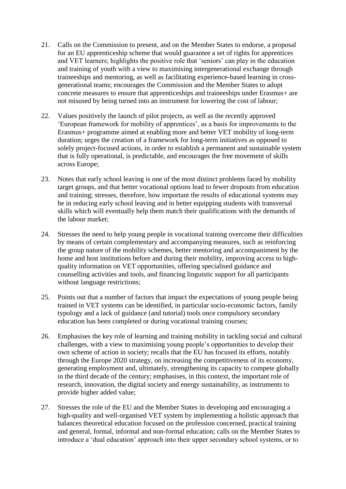- 21. Calls on the Commission to present, and on the Member States to endorse, a proposal for an EU apprenticeship scheme that would guarantee a set of rights for apprentices and VET learners; highlights the positive role that "seniors" can play in the education and training of youth with a view to maximising intergenerational exchange through traineeships and mentoring, as well as facilitating experience-based learning in crossgenerational teams; encourages the Commission and the Member States to adopt concrete measures to ensure that apprenticeships and traineeships under Erasmus+ are not misused by being turned into an instrument for lowering the cost of labour;
- 22. Values positively the launch of pilot projects, as well as the recently approved "European framework for mobility of apprentices", as a basis for improvements to the Erasmus+ programme aimed at enabling more and better VET mobility of long-term duration; urges the creation of a framework for long-term initiatives as opposed to solely project-focused actions, in order to establish a permanent and sustainable system that is fully operational, is predictable, and encourages the free movement of skills across Europe;
- 23. Notes that early school leaving is one of the most distinct problems faced by mobility target groups, and that better vocational options lead to fewer dropouts from education and training; stresses, therefore, how important the results of educational systems may be in reducing early school leaving and in better equipping students with transversal skills which will eventually help them match their qualifications with the demands of the labour market;
- 24. Stresses the need to help young people in vocational training overcome their difficulties by means of certain complementary and accompanying measures, such as reinforcing the group nature of the mobility schemes, better mentoring and accompaniment by the home and host institutions before and during their mobility, improving access to highquality information on VET opportunities, offering specialised guidance and counselling activities and tools, and financing linguistic support for all participants without language restrictions;
- 25. Points out that a number of factors that impact the expectations of young people being trained in VET systems can be identified, in particular socio-economic factors, family typology and a lack of guidance (and tutorial) tools once compulsory secondary education has been completed or during vocational training courses;
- 26. Emphasises the key role of learning and training mobility in tackling social and cultural challenges, with a view to maximising young people"s opportunities to develop their own scheme of action in society; recalls that the EU has focused its efforts, notably through the Europe 2020 strategy, on increasing the competitiveness of its economy, generating employment and, ultimately, strengthening its capacity to compete globally in the third decade of the century; emphasises, in this context, the important role of research, innovation, the digital society and energy sustainability, as instruments to provide higher added value;
- 27. Stresses the role of the EU and the Member States in developing and encouraging a high-quality and well-organised VET system by implementing a holistic approach that balances theoretical education focused on the profession concerned, practical training and general, formal, informal and non-formal education; calls on the Member States to introduce a "dual education" approach into their upper secondary school systems, or to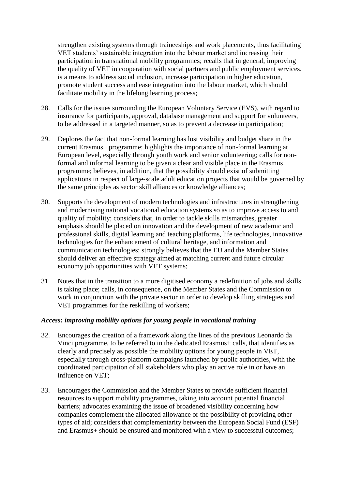strengthen existing systems through traineeships and work placements, thus facilitating VET students" sustainable integration into the labour market and increasing their participation in transnational mobility programmes; recalls that in general, improving the quality of VET in cooperation with social partners and public employment services, is a means to address social inclusion, increase participation in higher education, promote student success and ease integration into the labour market, which should facilitate mobility in the lifelong learning process;

- 28. Calls for the issues surrounding the European Voluntary Service (EVS), with regard to insurance for participants, approval, database management and support for volunteers, to be addressed in a targeted manner, so as to prevent a decrease in participation;
- 29. Deplores the fact that non-formal learning has lost visibility and budget share in the current Erasmus+ programme; highlights the importance of non-formal learning at European level, especially through youth work and senior volunteering; calls for nonformal and informal learning to be given a clear and visible place in the Erasmus+ programme; believes, in addition, that the possibility should exist of submitting applications in respect of large-scale adult education projects that would be governed by the same principles as sector skill alliances or knowledge alliances;
- 30. Supports the development of modern technologies and infrastructures in strengthening and modernising national vocational education systems so as to improve access to and quality of mobility; considers that, in order to tackle skills mismatches, greater emphasis should be placed on innovation and the development of new academic and professional skills, digital learning and teaching platforms, life technologies, innovative technologies for the enhancement of cultural heritage, and information and communication technologies; strongly believes that the EU and the Member States should deliver an effective strategy aimed at matching current and future circular economy job opportunities with VET systems;
- 31. Notes that in the transition to a more digitised economy a redefinition of jobs and skills is taking place; calls, in consequence, on the Member States and the Commission to work in conjunction with the private sector in order to develop skilling strategies and VET programmes for the reskilling of workers;

#### *Access: improving mobility options for young people in vocational training*

- 32. Encourages the creation of a framework along the lines of the previous Leonardo da Vinci programme, to be referred to in the dedicated Erasmus+ calls, that identifies as clearly and precisely as possible the mobility options for young people in VET, especially through cross-platform campaigns launched by public authorities, with the coordinated participation of all stakeholders who play an active role in or have an influence on VET;
- 33. Encourages the Commission and the Member States to provide sufficient financial resources to support mobility programmes, taking into account potential financial barriers; advocates examining the issue of broadened visibility concerning how companies complement the allocated allowance or the possibility of providing other types of aid; considers that complementarity between the European Social Fund (ESF) and Erasmus+ should be ensured and monitored with a view to successful outcomes;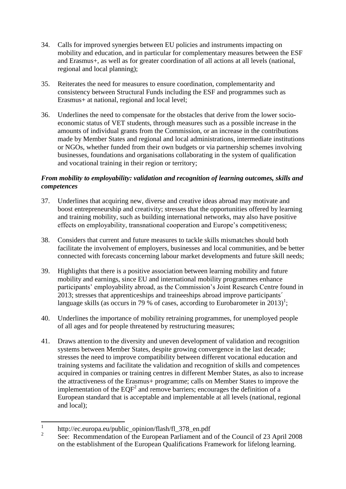- 34. Calls for improved synergies between EU policies and instruments impacting on mobility and education, and in particular for complementary measures between the ESF and Erasmus+, as well as for greater coordination of all actions at all levels (national, regional and local planning);
- 35. Reiterates the need for measures to ensure coordination, complementarity and consistency between Structural Funds including the ESF and programmes such as Erasmus+ at national, regional and local level;
- 36. Underlines the need to compensate for the obstacles that derive from the lower socioeconomic status of VET students, through measures such as a possible increase in the amounts of individual grants from the Commission, or an increase in the contributions made by Member States and regional and local administrations, intermediate institutions or NGOs, whether funded from their own budgets or via partnership schemes involving businesses, foundations and organisations collaborating in the system of qualification and vocational training in their region or territory;

#### *From mobility to employability: validation and recognition of learning outcomes, skills and competences*

- 37. Underlines that acquiring new, diverse and creative ideas abroad may motivate and boost entrepreneurship and creativity; stresses that the opportunities offered by learning and training mobility, such as building international networks, may also have positive effects on employability, transnational cooperation and Europe"s competitiveness;
- 38. Considers that current and future measures to tackle skills mismatches should both facilitate the involvement of employers, businesses and local communities, and be better connected with forecasts concerning labour market developments and future skill needs;
- 39. Highlights that there is a positive association between learning mobility and future mobility and earnings, since EU and international mobility programmes enhance participants' employability abroad, as the Commission's Joint Research Centre found in 2013; stresses that apprenticeships and traineeships abroad improve participants´ language skills (as occurs in 79 % of cases, according to Eurobarometer in 2013)<sup>1</sup>;
- 40. Underlines the importance of mobility retraining programmes, for unemployed people of all ages and for people threatened by restructuring measures;
- 41. Draws attention to the diversity and uneven development of validation and recognition systems between Member States, despite growing convergence in the last decade; stresses the need to improve compatibility between different vocational education and training systems and facilitate the validation and recognition of skills and competences acquired in companies or training centres in different Member States, as also to increase the attractiveness of the Erasmus+ programme; calls on Member States to improve the implementation of the  $EQF<sup>2</sup>$  and remove barriers; encourages the definition of a European standard that is acceptable and implementable at all levels (national, regional and local);

 $\frac{1}{1}$ http://ec.europa.eu/public\_opinion/flash/fl\_378\_en.pdf

 $\mathfrak{Z}$ See: Recommendation of the European Parliament and of the Council of 23 April 2008 on the establishment of the European Qualifications Framework for lifelong learning.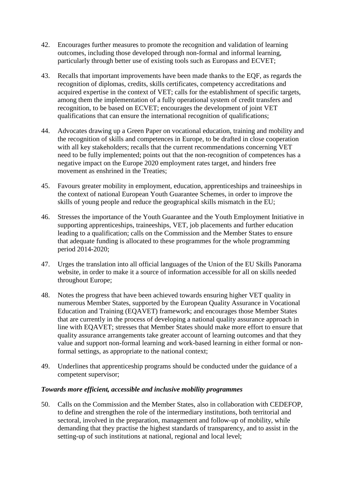- 42. Encourages further measures to promote the recognition and validation of learning outcomes, including those developed through non-formal and informal learning, particularly through better use of existing tools such as Europass and ECVET;
- 43. Recalls that important improvements have been made thanks to the EQF, as regards the recognition of diplomas, credits, skills certificates, competency accreditations and acquired expertise in the context of VET; calls for the establishment of specific targets, among them the implementation of a fully operational system of credit transfers and recognition, to be based on ECVET; encourages the development of joint VET qualifications that can ensure the international recognition of qualifications;
- 44. Advocates drawing up a Green Paper on vocational education, training and mobility and the recognition of skills and competences in Europe, to be drafted in close cooperation with all key stakeholders; recalls that the current recommendations concerning VET need to be fully implemented; points out that the non-recognition of competences has a negative impact on the Europe 2020 employment rates target, and hinders free movement as enshrined in the Treaties;
- 45. Favours greater mobility in employment, education, apprenticeships and traineeships in the context of national European Youth Guarantee Schemes, in order to improve the skills of young people and reduce the geographical skills mismatch in the EU;
- 46. Stresses the importance of the Youth Guarantee and the Youth Employment Initiative in supporting apprenticeships, traineeships, VET, job placements and further education leading to a qualification; calls on the Commission and the Member States to ensure that adequate funding is allocated to these programmes for the whole programming period 2014-2020;
- 47. Urges the translation into all official languages of the Union of the EU Skills Panorama website, in order to make it a source of information accessible for all on skills needed throughout Europe;
- 48. Notes the progress that have been achieved towards ensuring higher VET quality in numerous Member States, supported by the European Quality Assurance in Vocational Education and Training (EQAVET) framework; and encourages those Member States that are currently in the process of developing a national quality assurance approach in line with EQAVET; stresses that Member States should make more effort to ensure that quality assurance arrangements take greater account of learning outcomes and that they value and support non-formal learning and work-based learning in either formal or nonformal settings, as appropriate to the national context;
- 49. Underlines that apprenticeship programs should be conducted under the guidance of a competent supervisor;

#### *Towards more efficient, accessible and inclusive mobility programmes*

50. Calls on the Commission and the Member States, also in collaboration with CEDEFOP, to define and strengthen the role of the intermediary institutions, both territorial and sectoral, involved in the preparation, management and follow-up of mobility, while demanding that they practise the highest standards of transparency, and to assist in the setting-up of such institutions at national, regional and local level;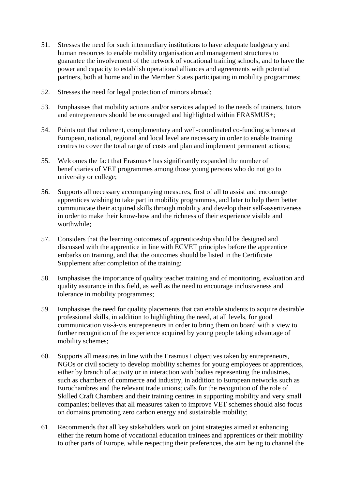- 51. Stresses the need for such intermediary institutions to have adequate budgetary and human resources to enable mobility organisation and management structures to guarantee the involvement of the network of vocational training schools, and to have the power and capacity to establish operational alliances and agreements with potential partners, both at home and in the Member States participating in mobility programmes;
- 52. Stresses the need for legal protection of minors abroad;
- 53. Emphasises that mobility actions and/or services adapted to the needs of trainers, tutors and entrepreneurs should be encouraged and highlighted within ERASMUS+;
- 54. Points out that coherent, complementary and well-coordinated co-funding schemes at European, national, regional and local level are necessary in order to enable training centres to cover the total range of costs and plan and implement permanent actions;
- 55. Welcomes the fact that Erasmus+ has significantly expanded the number of beneficiaries of VET programmes among those young persons who do not go to university or college;
- 56. Supports all necessary accompanying measures, first of all to assist and encourage apprentices wishing to take part in mobility programmes, and later to help them better communicate their acquired skills through mobility and develop their self-assertiveness in order to make their know-how and the richness of their experience visible and worthwhile;
- 57. Considers that the learning outcomes of apprenticeship should be designed and discussed with the apprentice in line with ECVET principles before the apprentice embarks on training, and that the outcomes should be listed in the Certificate Supplement after completion of the training;
- 58. Emphasises the importance of quality teacher training and of monitoring, evaluation and quality assurance in this field, as well as the need to encourage inclusiveness and tolerance in mobility programmes;
- 59. Emphasises the need for quality placements that can enable students to acquire desirable professional skills, in addition to highlighting the need, at all levels, for good communication vis-à-vis entrepreneurs in order to bring them on board with a view to further recognition of the experience acquired by young people taking advantage of mobility schemes;
- 60. Supports all measures in line with the Erasmus+ objectives taken by entrepreneurs, NGOs or civil society to develop mobility schemes for young employees or apprentices, either by branch of activity or in interaction with bodies representing the industries, such as chambers of commerce and industry, in addition to European networks such as Eurochambres and the relevant trade unions; calls for the recognition of the role of Skilled Craft Chambers and their training centres in supporting mobility and very small companies; believes that all measures taken to improve VET schemes should also focus on domains promoting zero carbon energy and sustainable mobility;
- 61. Recommends that all key stakeholders work on joint strategies aimed at enhancing either the return home of vocational education trainees and apprentices or their mobility to other parts of Europe, while respecting their preferences, the aim being to channel the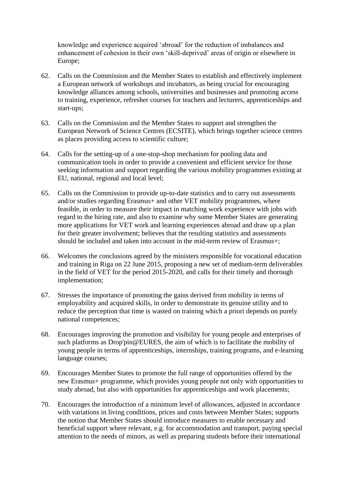knowledge and experience acquired "abroad" for the reduction of imbalances and enhancement of cohesion in their own "skill-deprived" areas of origin or elsewhere in Europe;

- 62. Calls on the Commission and the Member States to establish and effectively implement a European network of workshops and incubators, as being crucial for encouraging knowledge alliances among schools, universities and businesses and promoting access to training, experience, refresher courses for teachers and lecturers, apprenticeships and start-ups;
- 63. Calls on the Commission and the Member States to support and strengthen the European Network of Science Centres (ECSITE), which brings together science centres as places providing access to scientific culture;
- 64. Calls for the setting-up of a one-stop-shop mechanism for pooling data and communication tools in order to provide a convenient and efficient service for those seeking information and support regarding the various mobility programmes existing at EU, national, regional and local level;
- 65. Calls on the Commission to provide up-to-date statistics and to carry out assessments and/or studies regarding Erasmus+ and other VET mobility programmes, where feasible, in order to measure their impact in matching work experience with jobs with regard to the hiring rate, and also to examine why some Member States are generating more applications for VET work and learning experiences abroad and draw up a plan for their greater involvement; believes that the resulting statistics and assessments should be included and taken into account in the mid-term review of Erasmus+;
- 66. Welcomes the conclusions agreed by the ministers responsible for vocational education and training in Riga on 22 June 2015, proposing a new set of medium-term deliverables in the field of VET for the period 2015-2020, and calls for their timely and thorough implementation;
- 67. Stresses the importance of promoting the gains derived from mobility in terms of employability and acquired skills, in order to demonstrate its genuine utility and to reduce the perception that time is wasted on training which a priori depends on purely national competences;
- 68. Encourages improving the promotion and visibility for young people and enterprises of such platforms as Drop'pin@EURES, the aim of which is to facilitate the mobility of young people in terms of apprenticeships, internships, training programs, and e-learning language courses;
- 69. Encourages Member States to promote the full range of opportunities offered by the new Erasmus+ programme, which provides young people not only with opportunities to study abroad, but also with opportunities for apprenticeships and work placements;
- 70. Encourages the introduction of a minimum level of allowances, adjusted in accordance with variations in living conditions, prices and costs between Member States; supports the notion that Member States should introduce measures to enable necessary and beneficial support where relevant, e.g. for accommodation and transport, paying special attention to the needs of minors, as well as preparing students before their international